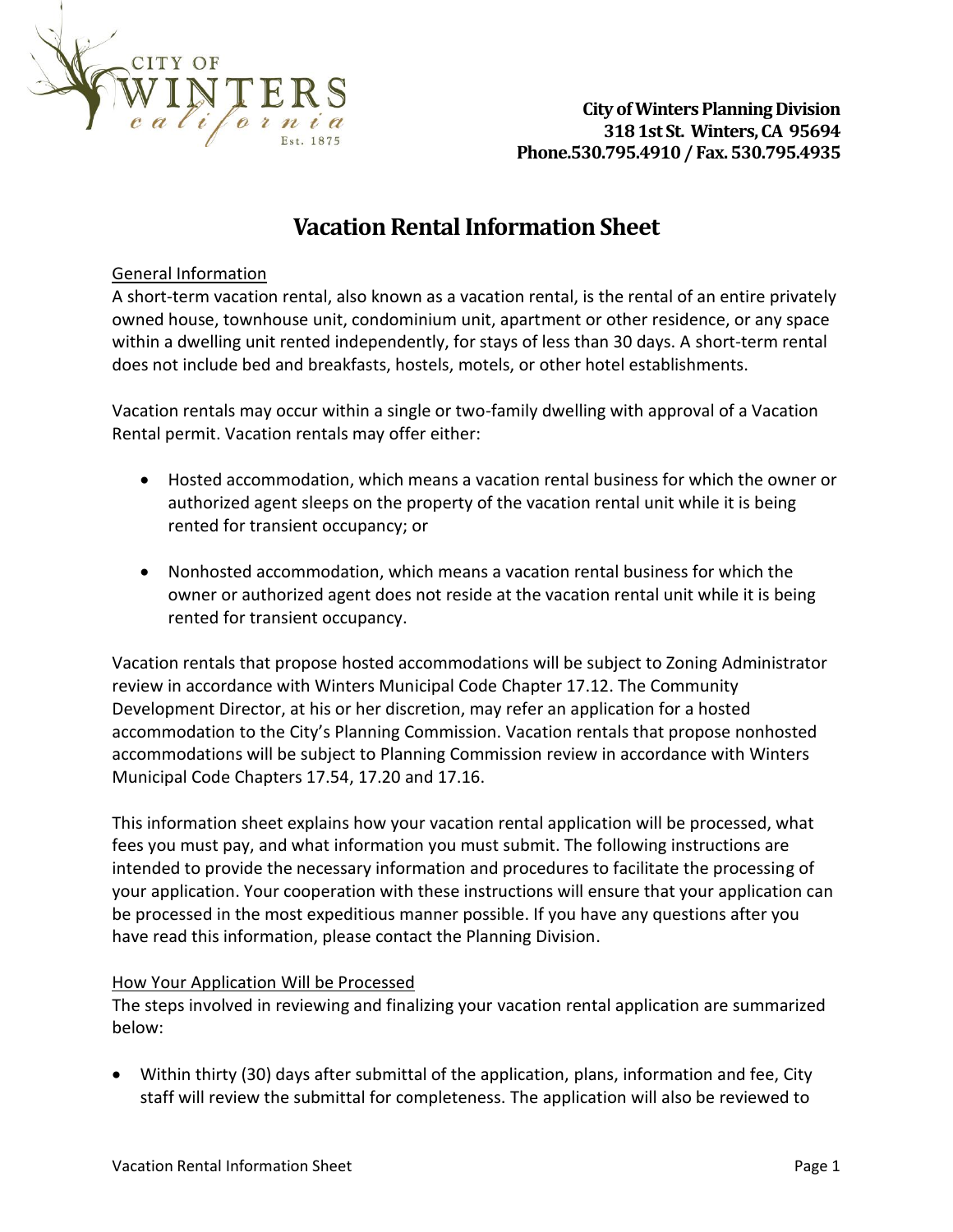

## **Vacation Rental Information Sheet**

### General Information

A short-term vacation rental, also known as a vacation rental, is the rental of an entire privately owned house, townhouse unit, condominium unit, apartment or other residence, or any space within a dwelling unit rented independently, for stays of less than 30 days. A short-term rental does not include bed and breakfasts, hostels, motels, or other hotel establishments.

Vacation rentals may occur within a single or two-family dwelling with approval of a Vacation Rental permit. Vacation rentals may offer either:

- Hosted accommodation, which means a vacation rental business for which the owner or authorized agent sleeps on the property of the vacation rental unit while it is being rented for transient occupancy; or
- Nonhosted accommodation, which means a vacation rental business for which the owner or authorized agent does not reside at the vacation rental unit while it is being rented for transient occupancy.

Vacation rentals that propose hosted accommodations will be subject to Zoning Administrator review in accordance with Winters Municipal Code Chapter 17.12. The Community Development Director, at his or her discretion, may refer an application for a hosted accommodation to the City's Planning Commission. Vacation rentals that propose nonhosted accommodations will be subject to Planning Commission review in accordance with Winters Municipal Code Chapters 17.54, 17.20 and 17.16.

This information sheet explains how your vacation rental application will be processed, what fees you must pay, and what information you must submit. The following instructions are intended to provide the necessary information and procedures to facilitate the processing of your application. Your cooperation with these instructions will ensure that your application can be processed in the most expeditious manner possible. If you have any questions after you have read this information, please contact the Planning Division.

### How Your Application Will be Processed

The steps involved in reviewing and finalizing your vacation rental application are summarized below:

• Within thirty (30) days after submittal of the application, plans, information and fee, City staff will review the submittal for completeness. The application will also be reviewed to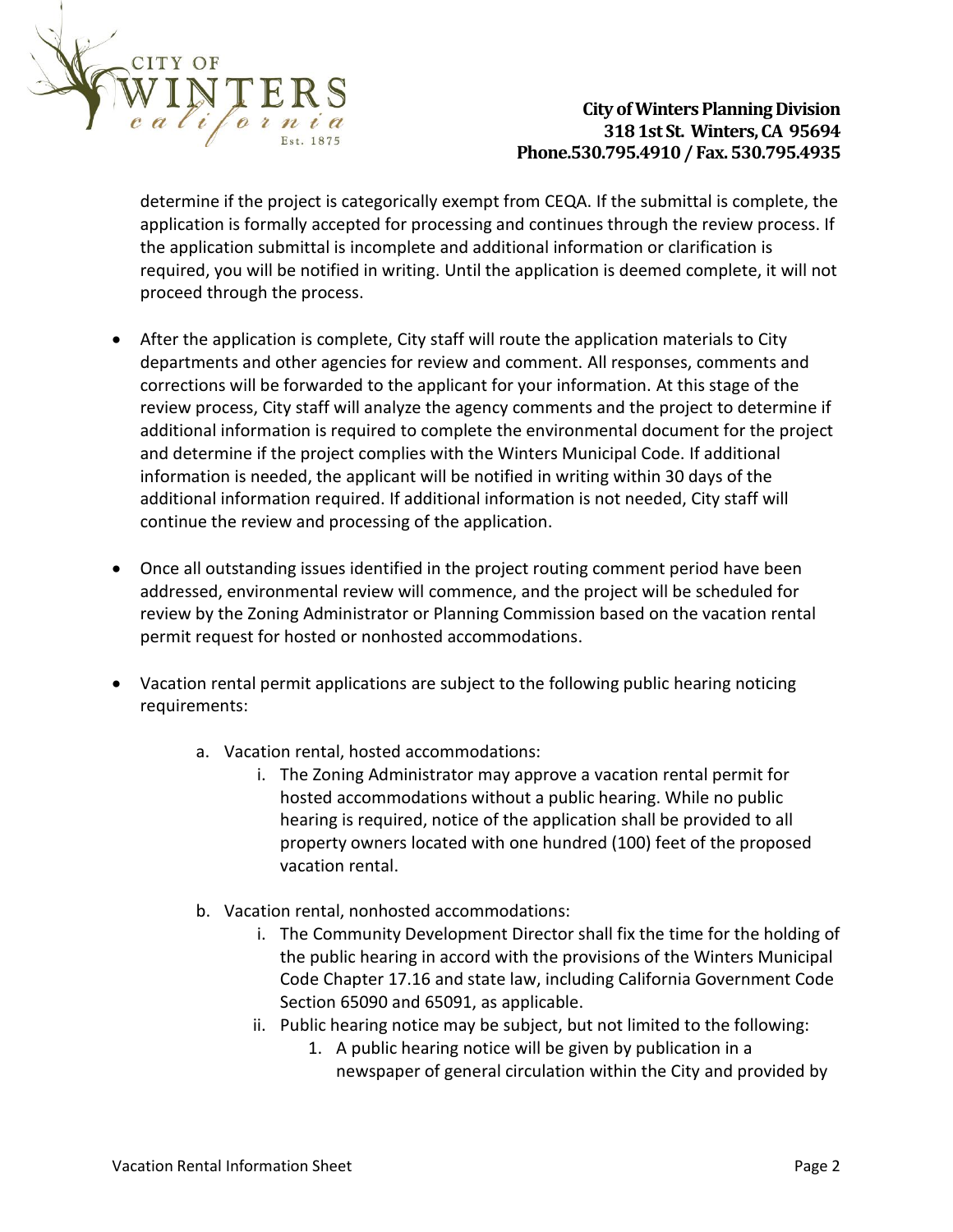

determine if the project is categorically exempt from CEQA. If the submittal is complete, the application is formally accepted for processing and continues through the review process. If the application submittal is incomplete and additional information or clarification is required, you will be notified in writing. Until the application is deemed complete, it will not proceed through the process.

- After the application is complete, City staff will route the application materials to City departments and other agencies for review and comment. All responses, comments and corrections will be forwarded to the applicant for your information. At this stage of the review process, City staff will analyze the agency comments and the project to determine if additional information is required to complete the environmental document for the project and determine if the project complies with the Winters Municipal Code. If additional information is needed, the applicant will be notified in writing within 30 days of the additional information required. If additional information is not needed, City staff will continue the review and processing of the application.
- Once all outstanding issues identified in the project routing comment period have been addressed, environmental review will commence, and the project will be scheduled for review by the Zoning Administrator or Planning Commission based on the vacation rental permit request for hosted or nonhosted accommodations.
- Vacation rental permit applications are subject to the following public hearing noticing requirements:
	- a. Vacation rental, hosted accommodations:
		- i. The Zoning Administrator may approve a vacation rental permit for hosted accommodations without a public hearing. While no public hearing is required, notice of the application shall be provided to all property owners located with one hundred (100) feet of the proposed vacation rental.
	- b. Vacation rental, nonhosted accommodations:
		- i. The Community Development Director shall fix the time for the holding of the public hearing in accord with the provisions of the Winters Municipal Code Chapter 17.16 and state law, including California Government Code Section 65090 and 65091, as applicable.
		- ii. Public hearing notice may be subject, but not limited to the following:
			- 1. A public hearing notice will be given by publication in a newspaper of general circulation within the City and provided by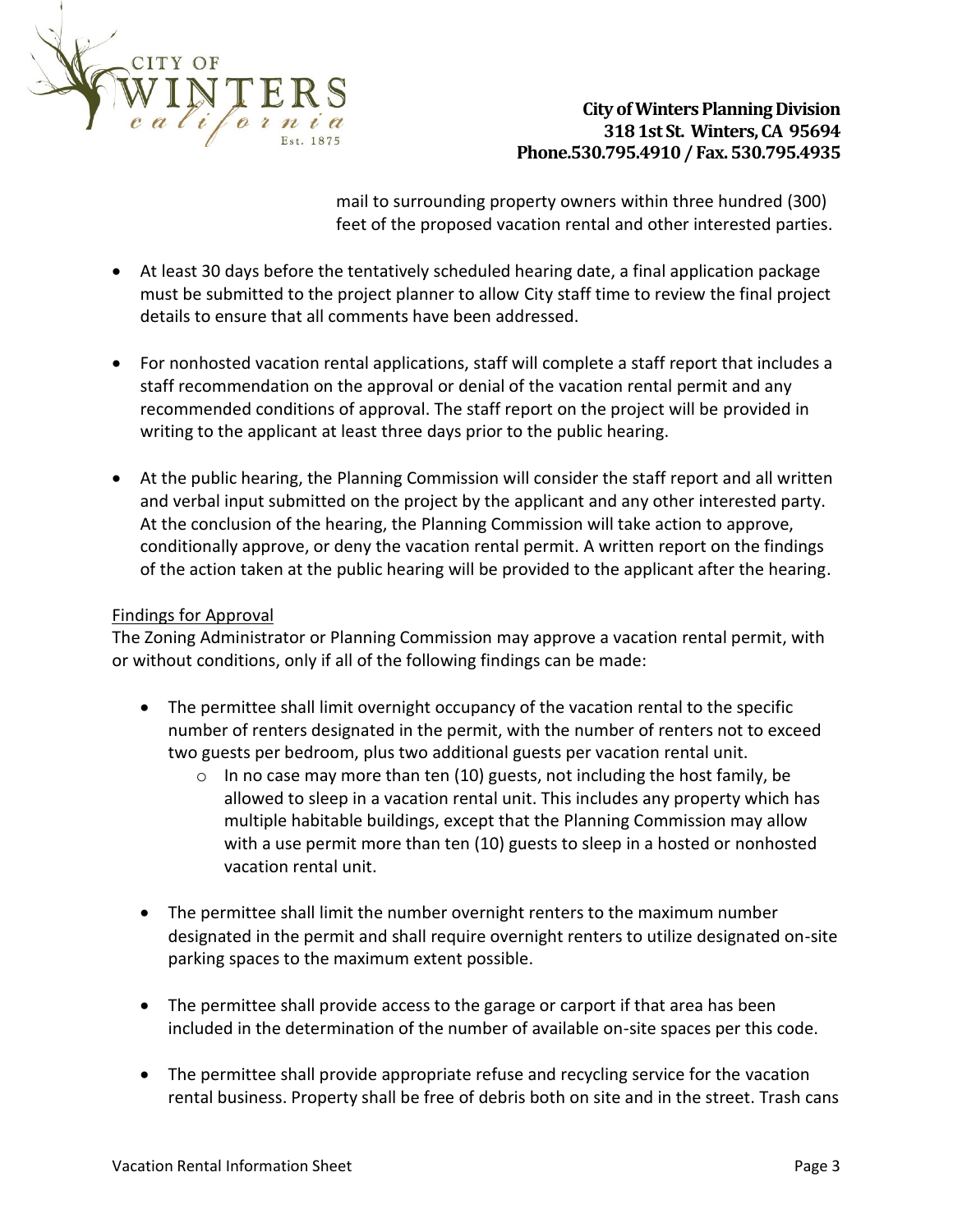

mail to surrounding property owners within three hundred (300) feet of the proposed vacation rental and other interested parties.

- At least 30 days before the tentatively scheduled hearing date, a final application package must be submitted to the project planner to allow City staff time to review the final project details to ensure that all comments have been addressed.
- For nonhosted vacation rental applications, staff will complete a staff report that includes a staff recommendation on the approval or denial of the vacation rental permit and any recommended conditions of approval. The staff report on the project will be provided in writing to the applicant at least three days prior to the public hearing.
- At the public hearing, the Planning Commission will consider the staff report and all written and verbal input submitted on the project by the applicant and any other interested party. At the conclusion of the hearing, the Planning Commission will take action to approve, conditionally approve, or deny the vacation rental permit. A written report on the findings of the action taken at the public hearing will be provided to the applicant after the hearing.

### Findings for Approval

The Zoning Administrator or Planning Commission may approve a vacation rental permit, with or without conditions, only if all of the following findings can be made:

- The permittee shall limit overnight occupancy of the vacation rental to the specific number of renters designated in the permit, with the number of renters not to exceed two guests per bedroom, plus two additional guests per vacation rental unit.
	- $\circ$  In no case may more than ten (10) guests, not including the host family, be allowed to sleep in a vacation rental unit. This includes any property which has multiple habitable buildings, except that the Planning Commission may allow with a use permit more than ten (10) guests to sleep in a hosted or nonhosted vacation rental unit.
- The permittee shall limit the number overnight renters to the maximum number designated in the permit and shall require overnight renters to utilize designated on-site parking spaces to the maximum extent possible.
- The permittee shall provide access to the garage or carport if that area has been included in the determination of the number of available on-site spaces per this code.
- The permittee shall provide appropriate refuse and recycling service for the vacation rental business. Property shall be free of debris both on site and in the street. Trash cans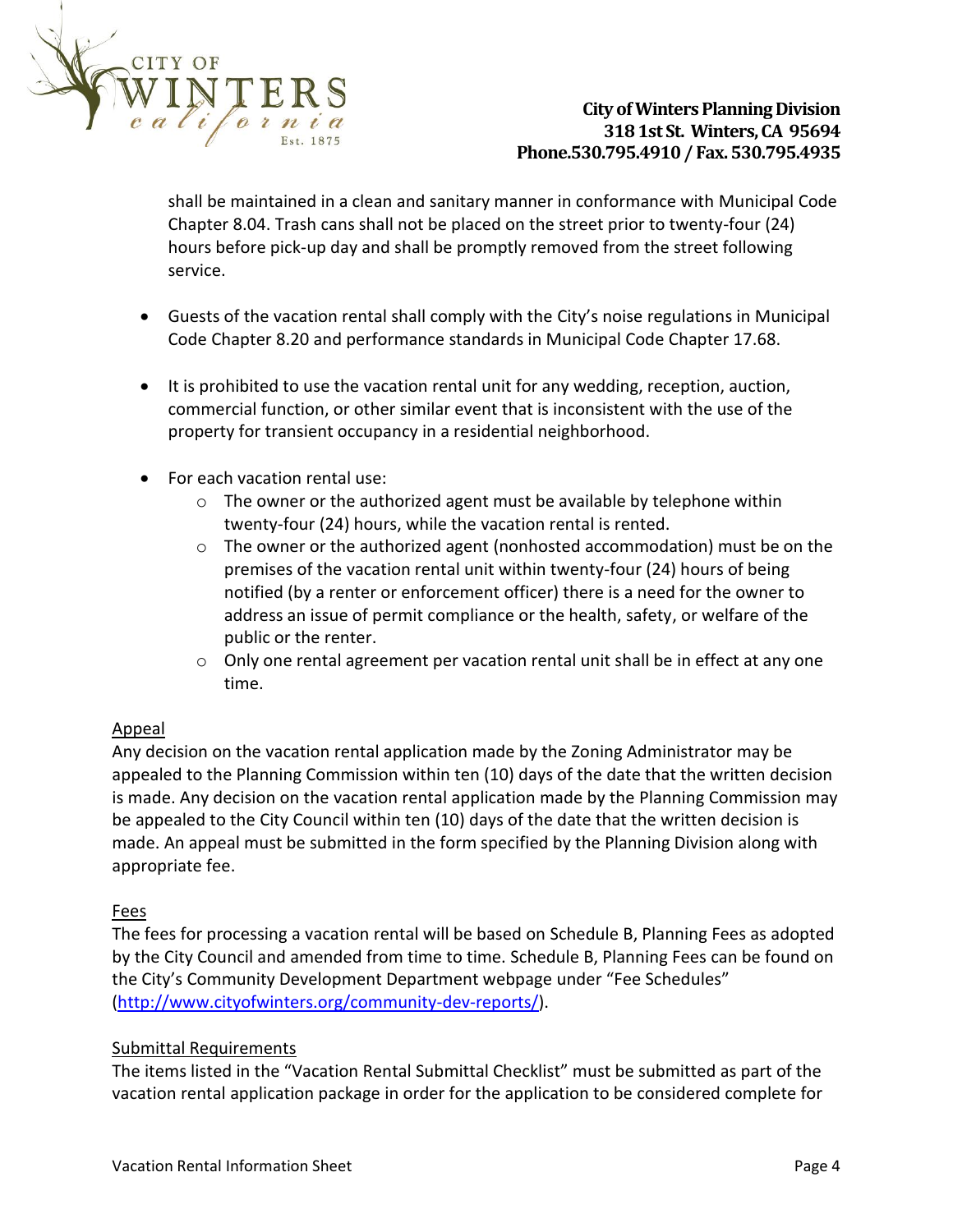

shall be maintained in a clean and sanitary manner in conformance with Municipal Code Chapter 8.04. Trash cans shall not be placed on the street prior to twenty-four (24) hours before pick-up day and shall be promptly removed from the street following service.

- Guests of the vacation rental shall comply with the City's noise regulations in Municipal Code Chapter 8.20 and performance standards in Municipal Code Chapter 17.68.
- It is prohibited to use the vacation rental unit for any wedding, reception, auction, commercial function, or other similar event that is inconsistent with the use of the property for transient occupancy in a residential neighborhood.
- For each vacation rental use:
	- $\circ$  The owner or the authorized agent must be available by telephone within twenty-four (24) hours, while the vacation rental is rented.
	- o The owner or the authorized agent (nonhosted accommodation) must be on the premises of the vacation rental unit within twenty-four (24) hours of being notified (by a renter or enforcement officer) there is a need for the owner to address an issue of permit compliance or the health, safety, or welfare of the public or the renter.
	- $\circ$  Only one rental agreement per vacation rental unit shall be in effect at any one time.

### Appeal

Any decision on the vacation rental application made by the Zoning Administrator may be appealed to the Planning Commission within ten (10) days of the date that the written decision is made. Any decision on the vacation rental application made by the Planning Commission may be appealed to the City Council within ten (10) days of the date that the written decision is made. An appeal must be submitted in the form specified by the Planning Division along with appropriate fee.

### Fees

The fees for processing a vacation rental will be based on Schedule B, Planning Fees as adopted by the City Council and amended from time to time. Schedule B, Planning Fees can be found on the City's Community Development Department webpage under "Fee Schedules" [\(http://www.cityofwinters.org/community-dev-reports/\)](http://www.cityofwinters.org/community-dev-reports/).

### Submittal Requirements

The items listed in the "Vacation Rental Submittal Checklist" must be submitted as part of the vacation rental application package in order for the application to be considered complete for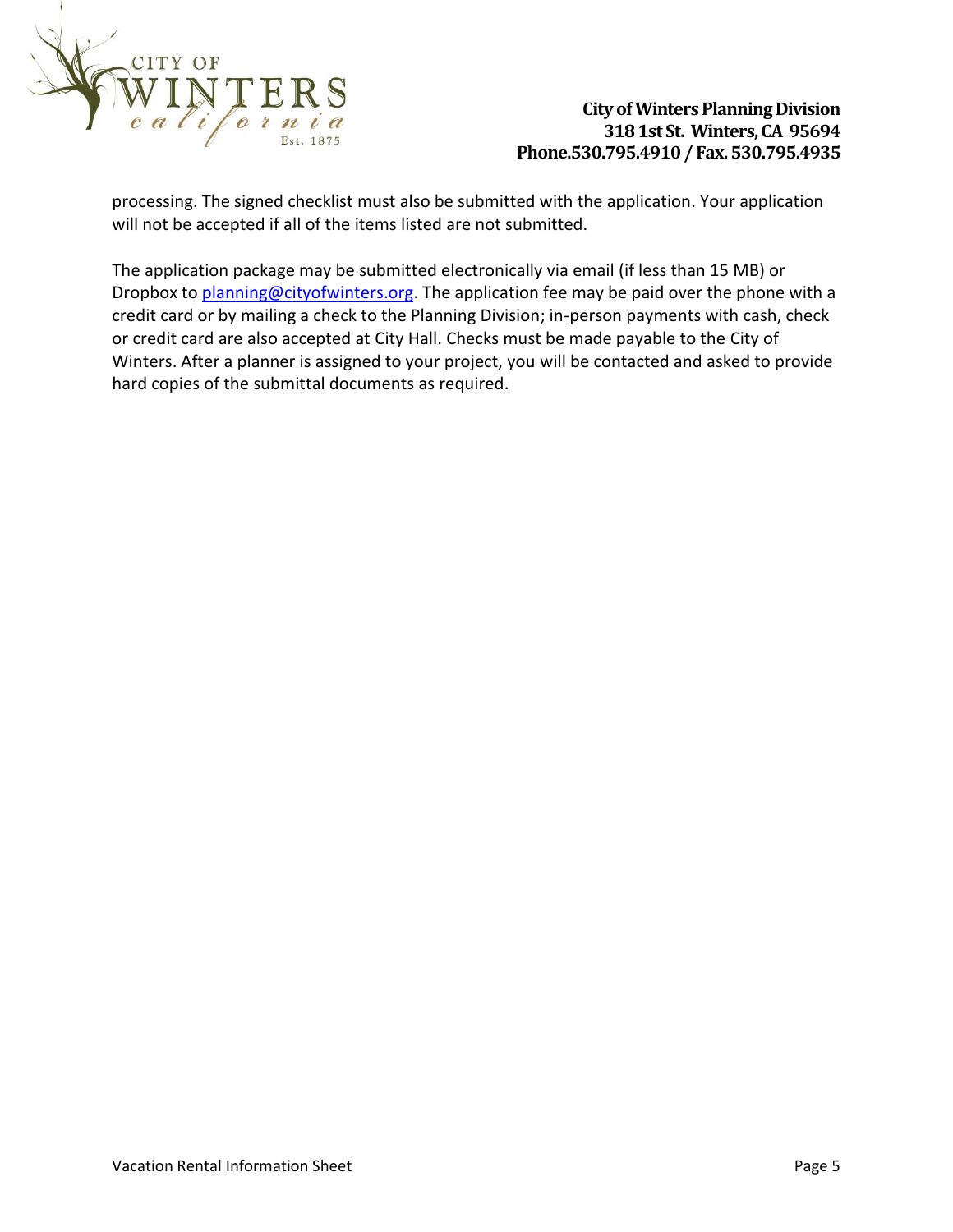

processing. The signed checklist must also be submitted with the application. Your application will not be accepted if all of the items listed are not submitted.

The application package may be submitted electronically via email (if less than 15 MB) or Dropbox to [planning@cityofwinters.org.](mailto:planning@cityofwinters.org) The application fee may be paid over the phone with a credit card or by mailing a check to the Planning Division; in-person payments with cash, check or credit card are also accepted at City Hall. Checks must be made payable to the City of Winters. After a planner is assigned to your project, you will be contacted and asked to provide hard copies of the submittal documents as required.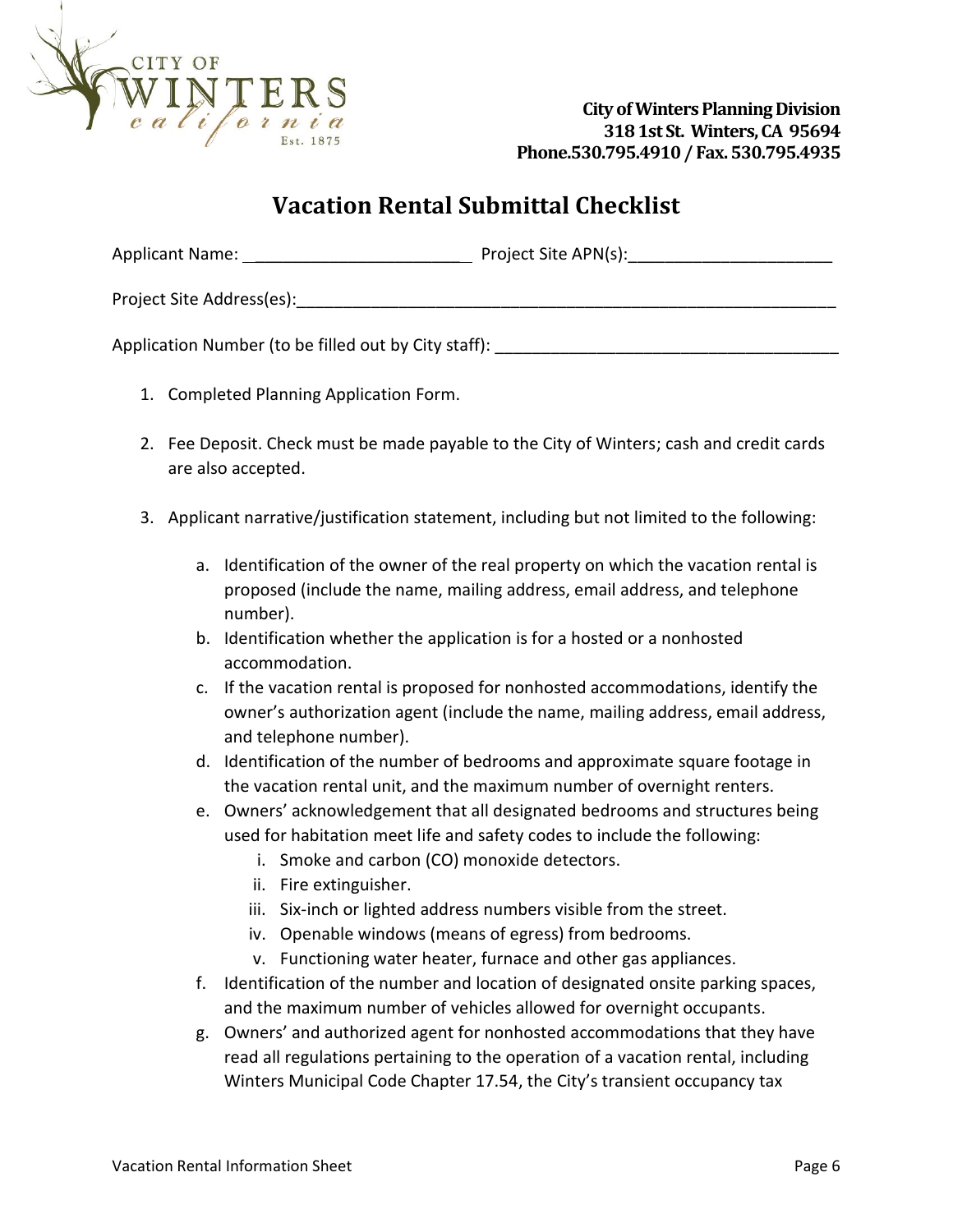

# **Vacation Rental Submittal Checklist**

| <b>Applicant Name:</b> | Project Site APN(s): |
|------------------------|----------------------|
|------------------------|----------------------|

Project Site Address(es):\_\_\_\_\_\_\_\_\_\_\_\_\_\_\_\_\_\_\_\_\_\_\_\_\_\_\_\_\_\_\_\_\_\_\_\_\_\_\_\_\_\_\_\_\_\_\_\_\_\_\_\_\_\_\_\_\_\_

Application Number (to be filled out by City staff):

- 1. Completed Planning Application Form.
- 2. Fee Deposit. Check must be made payable to the City of Winters; cash and credit cards are also accepted.
- 3. Applicant narrative/justification statement, including but not limited to the following:
	- a. Identification of the owner of the real property on which the vacation rental is proposed (include the name, mailing address, email address, and telephone number).
	- b. Identification whether the application is for a hosted or a nonhosted accommodation.
	- c. If the vacation rental is proposed for nonhosted accommodations, identify the owner's authorization agent (include the name, mailing address, email address, and telephone number).
	- d. Identification of the number of bedrooms and approximate square footage in the vacation rental unit, and the maximum number of overnight renters.
	- e. Owners' acknowledgement that all designated bedrooms and structures being used for habitation meet life and safety codes to include the following:
		- i. Smoke and carbon (CO) monoxide detectors.
		- ii. Fire extinguisher.
		- iii. Six-inch or lighted address numbers visible from the street.
		- iv. Openable windows (means of egress) from bedrooms.
		- v. Functioning water heater, furnace and other gas appliances.
	- f. Identification of the number and location of designated onsite parking spaces, and the maximum number of vehicles allowed for overnight occupants.
	- g. Owners' and authorized agent for nonhosted accommodations that they have read all regulations pertaining to the operation of a vacation rental, including Winters Municipal Code Chapter 17.54, the City's transient occupancy tax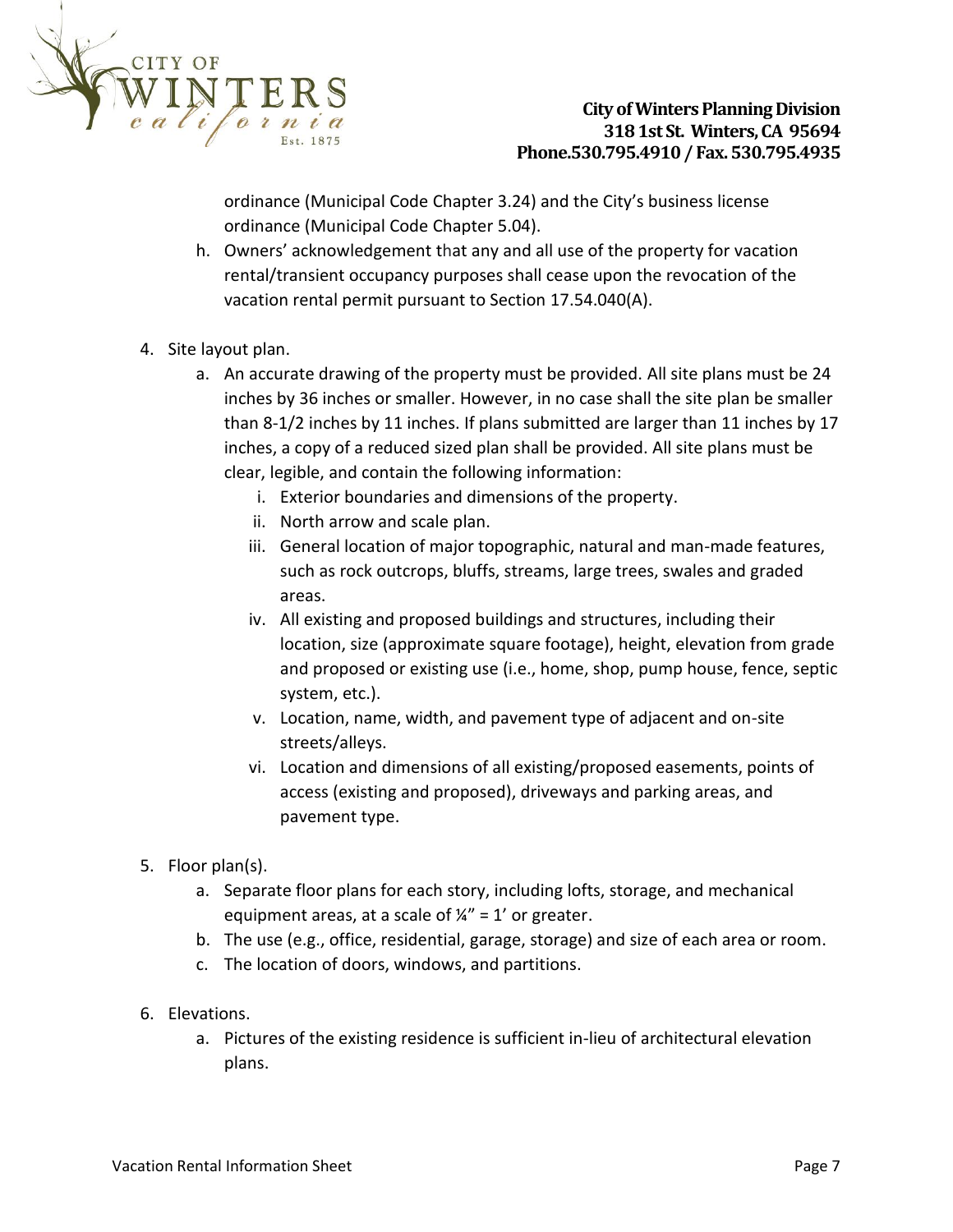

ordinance (Municipal Code Chapter 3.24) and the City's business license ordinance (Municipal Code Chapter 5.04).

- h. Owners' acknowledgement that any and all use of the property for vacation rental/transient occupancy purposes shall cease upon the revocation of the vacation rental permit pursuant to Section 17.54.040(A).
- 4. Site layout plan.
	- a. An accurate drawing of the property must be provided. All site plans must be 24 inches by 36 inches or smaller. However, in no case shall the site plan be smaller than 8-1/2 inches by 11 inches. If plans submitted are larger than 11 inches by 17 inches, a copy of a reduced sized plan shall be provided. All site plans must be clear, legible, and contain the following information:
		- i. Exterior boundaries and dimensions of the property.
		- ii. North arrow and scale plan.
		- iii. General location of major topographic, natural and man-made features, such as rock outcrops, bluffs, streams, large trees, swales and graded areas.
		- iv. All existing and proposed buildings and structures, including their location, size (approximate square footage), height, elevation from grade and proposed or existing use (i.e., home, shop, pump house, fence, septic system, etc.).
		- v. Location, name, width, and pavement type of adjacent and on-site streets/alleys.
		- vi. Location and dimensions of all existing/proposed easements, points of access (existing and proposed), driveways and parking areas, and pavement type.
- 5. Floor plan(s).
	- a. Separate floor plans for each story, including lofts, storage, and mechanical equipment areas, at a scale of  $\frac{1}{4}$ " = 1' or greater.
	- b. The use (e.g., office, residential, garage, storage) and size of each area or room.
	- c. The location of doors, windows, and partitions.
- 6. Elevations.
	- a. Pictures of the existing residence is sufficient in-lieu of architectural elevation plans.